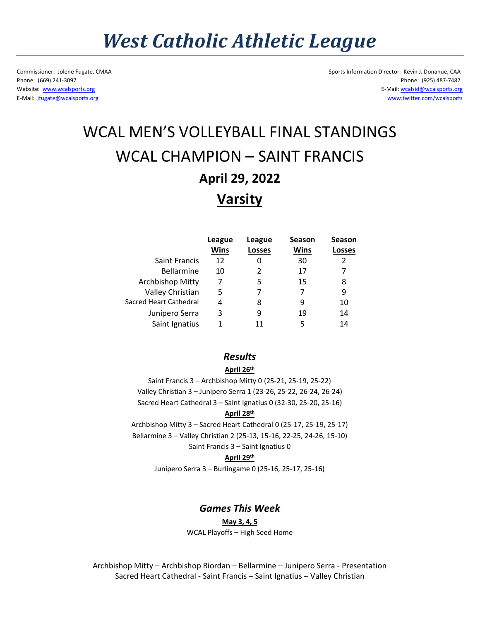# *West Catholic Athletic League*

Commissioner: Jolene Fugate, CMAA Sports Information Director: Kevin J. Donahue, CAA Phone: (669) 241-3097 Phone: (925) 487-7482 Website: [www.wcalsports.org](http://www.wcalsports.org/) E-Mail: wcalsid@wcalsports.org E-Mail: [jfugate@wcalsports.org](mailto:jfugate@wcalsports.org) [www.twitter.com/wcalsports](http://www.twitter.com/wcalsports)

# WCAL MEN'S VOLLEYBALL FINAL STANDINGS WCAL CHAMPION – SAINT FRANCIS **April 29, 2022 Varsity**

|                        | League      | League        | <b>Season</b> | <b>Season</b> |
|------------------------|-------------|---------------|---------------|---------------|
|                        | <b>Wins</b> | <b>Losses</b> | Wins          | Losses        |
| <b>Saint Francis</b>   | 12          |               | 30            | 2             |
| <b>Bellarmine</b>      | 10          |               | 17            |               |
| Archbishop Mitty       | 7           | 5             | 15            | 8             |
| Valley Christian       | 5           |               |               | 9             |
| Sacred Heart Cathedral | 4           | 8             | 9             | 10            |
| Junipero Serra         | 3           | 9             | 19            | 14            |
| Saint Ignatius         | 1           |               | 5             | 14            |

### *Results*

#### **April 26th**

Saint Francis 3 – Archbishop Mitty 0 (25-21, 25-19, 25-22) Valley Christian 3 – Junipero Serra 1 (23-26, 25-22, 26-24, 26-24) Sacred Heart Cathedral 3 – Saint Ignatius 0 (32-30, 25-20, 25-16)

#### **April 28th**

Archbishop Mitty 3 – Sacred Heart Cathedral 0 (25-17, 25-19, 25-17) Bellarmine 3 – Valley Christian 2 (25-13, 15-16, 22-25, 24-26, 15-10) Saint Francis 3 – Saint Ignatius 0

#### **April 29th**

Junipero Serra 3 – Burlingame 0 (25-16, 25-17, 25-16)

### *Games This Week*

#### **May 3, 4, 5**

WCAL Playoffs – High Seed Home

Archbishop Mitty – Archbishop Riordan – Bellarmine – Junipero Serra - Presentation Sacred Heart Cathedral - Saint Francis – Saint Ignatius – Valley Christian